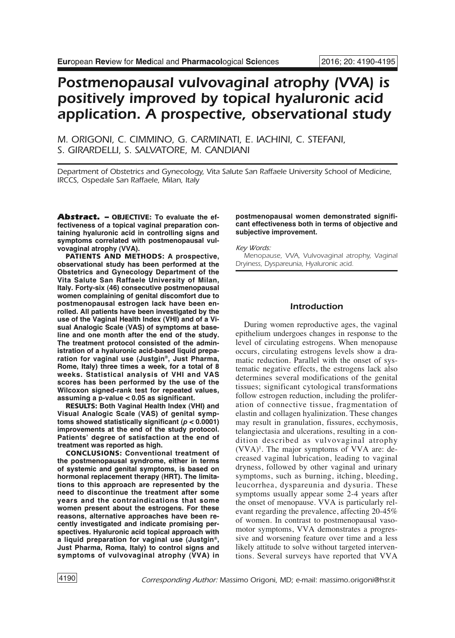# *Postmenopausal vulvovaginal atrophy (VVA) is positively improved by topical hyaluronic acid application. A prospective, observational study*

*M. ORIGONI, C. CIMMINO, G. CARMINATI, E. IACHINI, C. STEFANI, S. GIRARDELLI, S. SALVATORE, M. CANDIANI*

*Department of Obstetrics and Gynecology, Vita Salute San Raffaele University School of Medicine, IRCCS, Ospedale San Raffaele, Milan, Italy*

*Abstract. –* **OBJECTIVE: To evaluate the effectiveness of a topical vaginal preparation containing hyaluronic acid in controlling signs and symptoms correlated with postmenopausal vulvovaginal atrophy (VVA).**

**PATIENTS AND METHODS: A prospective, observational study has been performed at the Obstetrics and Gynecology Department of the Vita Salute San Raffaele University of Milan, Italy. Forty-six (46) consecutive postmenopausal women complaining of genital discomfort due to postmenopausal estrogen lack have been enrolled. All patients have been investigated by the use of the Vaginal Health Index (VHI) and of a Visual Analogic Scale (VAS) of symptoms at baseline and one month after the end of the study. The treatment protocol consisted of the administration of a hyaluronic acid-based liquid preparation for vaginal use (Justgin®, Just Pharma, Rome, Italy) three times a week, for a total of 8 weeks. Statistical analysis of VHI and VAS scores has been performed by the use of the Wilcoxon signed-rank test for repeated values, assuming a p-value < 0.05 as significant.**

**RESULTS: Both Vaginal Health Index (VHI) and Visual Analogic Scale (VAS) of genital symptoms showed statistically significant (***p* **< 0.0001) improvements at the end of the study protocol. Patients' degree of satisfaction at the end of treatment was reported as high.**

**CONCLUSIONS: Conventional treatment of the postmenopausal syndrome, either in terms of systemic and genital symptoms, is based on hormonal replacement therapy (HRT). The limitations to this approach are represented by the need to discontinue the treatment after some years and the contraindications that some women present about the estrogens. For these reasons, alternative approaches have been recently investigated and indicate promising perspectives. Hyaluronic acid topical approach with a liquid preparation for vaginal use (Justgin®, Just Pharma, Roma, Italy) to control signs and symptoms of vulvovaginal atrophy (VVA) in**

## **postmenopausal women demonstrated significant effectiveness both in terms of objective and subjective improvement.**

*Key Words:*

*Menopause, VVA, Vulvovaginal atrophy, Vaginal Dryiness, Dyspareunia, Hyaluronic acid.*

# *Introduction*

During women reproductive ages, the vaginal epithelium undergoes changes in response to the level of circulating estrogens. When menopause occurs, circulating estrogens levels show a dramatic reduction. Parallel with the onset of systematic negative effects, the estrogens lack also determines several modifications of the genital tissues; significant cytological transformations follow estrogen reduction, including the proliferation of connective tissue, fragmentation of elastin and collagen hyalinization. These changes may result in granulation, fissures, ecchymosis, telangiectasia and ulcerations, resulting in a condition described as vulvovaginal atrophy (VVA)1 . The major symptoms of VVA are: decreased vaginal lubrication, leading to vaginal dryness, followed by other vaginal and urinary symptoms, such as burning, itching, bleeding, leucorrhea, dyspareunia and dysuria. These symptoms usually appear some 2-4 years after the onset of menopause. VVA is particularly relevant regarding the prevalence, affecting 20-45% of women. In contrast to postmenopausal vasomotor symptoms, VVA demonstrates a progressive and worsening feature over time and a less likely attitude to solve without targeted interventions. Several surveys have reported that VVA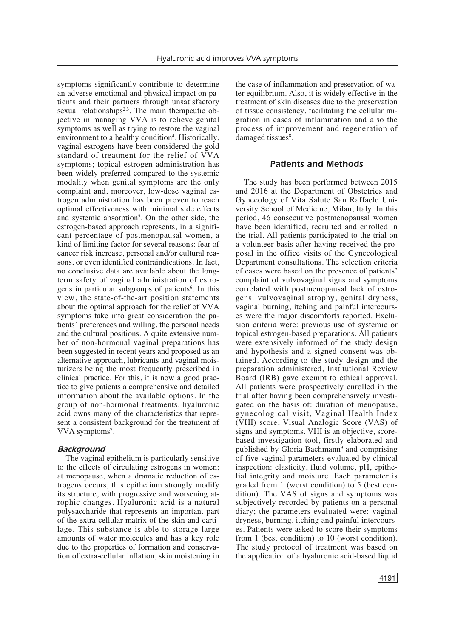symptoms significantly contribute to determine an adverse emotional and physical impact on patients and their partners through unsatisfactory sexual relationships<sup>2,3</sup>. The main therapeutic objective in managing VVA is to relieve genital symptoms as well as trying to restore the vaginal environment to a healthy condition<sup>4</sup>. Historically, vaginal estrogens have been considered the gold standard of treatment for the relief of VVA symptoms; topical estrogen administration has been widely preferred compared to the systemic modality when genital symptoms are the only complaint and, moreover, low-dose vaginal estrogen administration has been proven to reach optimal effectiveness with minimal side effects and systemic absorption<sup>5</sup>. On the other side, the estrogen-based approach represents, in a significant percentage of postmenopausal women, a kind of limiting factor for several reasons: fear of cancer risk increase, personal and/or cultural reasons, or even identified contraindications. In fact, no conclusive data are available about the longterm safety of vaginal administration of estrogens in particular subgroups of patients<sup>6</sup>. In this view, the state-of-the-art position statements about the optimal approach for the relief of VVA symptoms take into great consideration the patients' preferences and willing, the personal needs and the cultural positions. A quite extensive number of non-hormonal vaginal preparations has been suggested in recent years and proposed as an alternative approach, lubricants and vaginal moisturizers being the most frequently prescribed in clinical practice. For this, it is now a good practice to give patients a comprehensive and detailed information about the available options. In the group of non-hormonal treatments, hyaluronic acid owns many of the characteristics that represent a consistent background for the treatment of VVA symptoms<sup>7</sup>.

## *Background*

The vaginal epithelium is particularly sensitive to the effects of circulating estrogens in women; at menopause, when a dramatic reduction of estrogens occurs, this epithelium strongly modify its structure, with progressive and worsening atrophic changes. Hyaluronic acid is a natural polysaccharide that represents an important part of the extra-cellular matrix of the skin and cartilage. This substance is able to storage large amounts of water molecules and has a key role due to the properties of formation and conservation of extra-cellular inflation, skin moistening in the case of inflammation and preservation of water equilibrium. Also, it is widely effective in the treatment of skin diseases due to the preservation of tissue consistency, facilitating the cellular migration in cases of inflammation and also the process of improvement and regeneration of damaged tissues<sup>8</sup>.

# *Patients and Methods*

The study has been performed between 2015 and 2016 at the Department of Obstetrics and Gynecology of Vita Salute San Raffaele University School of Medicine, Milan, Italy. In this period, 46 consecutive postmenopausal women have been identified, recruited and enrolled in the trial. All patients participated to the trial on a volunteer basis after having received the proposal in the office visits of the Gynecological Department consultations. The selection criteria of cases were based on the presence of patients' complaint of vulvovaginal signs and symptoms correlated with postmenopausal lack of estrogens: vulvovaginal atrophy, genital dryness, vaginal burning, itching and painful intercourses were the major discomforts reported. Exclusion criteria were: previous use of systemic or topical estrogen-based preparations. All patients were extensively informed of the study design and hypothesis and a signed consent was obtained. According to the study design and the preparation administered, Institutional Review Board (IRB) gave exempt to ethical approval. All patients were prospectively enrolled in the trial after having been comprehensively investigated on the basis of: duration of menopause, gynecological visit, Vaginal Health Index (VHI) score, Visual Analogic Score (VAS) of signs and symptoms. VHI is an objective, scorebased investigation tool, firstly elaborated and published by Gloria Bachmann<sup>9</sup> and comprising of five vaginal parameters evaluated by clinical inspection: elasticity, fluid volume, pH, epithelial integrity and moisture. Each parameter is graded from 1 (worst condition) to 5 (best condition). The VAS of signs and symptoms was subjectively recorded by patients on a personal diary; the parameters evaluated were: vaginal dryness, burning, itching and painful intercourses. Patients were asked to score their symptoms from 1 (best condition) to 10 (worst condition). The study protocol of treatment was based on the application of a hyaluronic acid-based liquid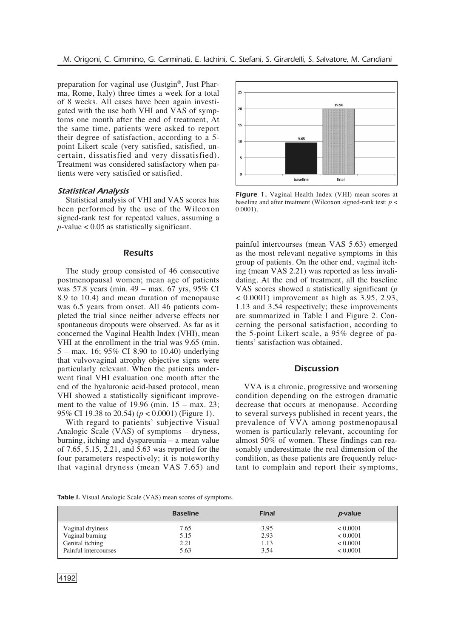preparation for vaginal use (Justgin®, Just Pharma, Rome, Italy) three times a week for a total of 8 weeks. All cases have been again investigated with the use both VHI and VAS of symptoms one month after the end of treatment, At the same time, patients were asked to report their degree of satisfaction, according to a 5 point Likert scale (very satisfied, satisfied, uncertain, dissatisfied and very dissatisfied). Treatment was considered satisfactory when patients were very satisfied or satisfied.

## *Statistical Analysis*

Statistical analysis of VHI and VAS scores has been performed by the use of the Wilcoxon signed-rank test for repeated values, assuming a  $p$ -value  $< 0.05$  as statistically significant.

#### *Results*

The study group consisted of 46 consecutive postmenopausal women; mean age of patients was 57.8 years (min. 49 – max. 67 yrs, 95% CI 8.9 to 10.4) and mean duration of menopause was 6.5 years from onset. All 46 patients completed the trial since neither adverse effects nor spontaneous dropouts were observed. As far as it concerned the Vaginal Health Index (VHI), mean VHI at the enrollment in the trial was 9.65 (min. 5 – max. 16; 95% CI 8.90 to 10.40) underlying that vulvovaginal atrophy objective signs were particularly relevant. When the patients underwent final VHI evaluation one month after the end of the hyaluronic acid-based protocol, mean VHI showed a statistically significant improvement to the value of 19.96 (min. 15 – max. 23; 95% CI 19.38 to 20.54) (*p* < 0.0001) (Figure 1).

With regard to patients' subjective Visual Analogic Scale (VAS) of symptoms – dryness, burning, itching and dyspareunia – a mean value of 7.65, 5.15, 2.21, and 5.63 was reported for the four parameters respectively; it is noteworthy that vaginal dryness (mean VAS 7.65) and



*Figure 1.* Vaginal Health Index (VHI) mean scores at baseline and after treatment (Wilcoxon signed-rank test: *p* < 0.0001).

painful intercourses (mean VAS 5.63) emerged as the most relevant negative symptoms in this group of patients. On the other end, vaginal itching (mean VAS 2.21) was reported as less invalidating. At the end of treatment, all the baseline VAS scores showed a statistically significant (*p*  $\lt$  0.0001) improvement as high as 3.95, 2.93, 1.13 and 3.54 respectively; these improvements are summarized in Table I and Figure 2. Concerning the personal satisfaction, according to the 5-point Likert scale, a 95% degree of patients' satisfaction was obtained.

# *Discussion*

VVA is a chronic, progressive and worsening condition depending on the estrogen dramatic decrease that occurs at menopause. According to several surveys published in recent years, the prevalence of VVA among postmenopausal women is particularly relevant, accounting for almost 50% of women. These findings can reasonably underestimate the real dimension of the condition, as these patients are frequently reluctant to complain and report their symptoms,

**Table I.** Visual Analogic Scale (VAS) mean scores of symptoms.

|                      | <b>Baseline</b> | <b>Final</b> | p-value  |
|----------------------|-----------------|--------------|----------|
| Vaginal dryiness     | 7.65            | 3.95         | < 0.0001 |
| Vaginal burning      | 5.15            | 2.93         | < 0.0001 |
| Genital itching      | 2.21            | 1.13         | < 0.0001 |
| Painful intercourses | 5.63            | 3.54         | < 0.0001 |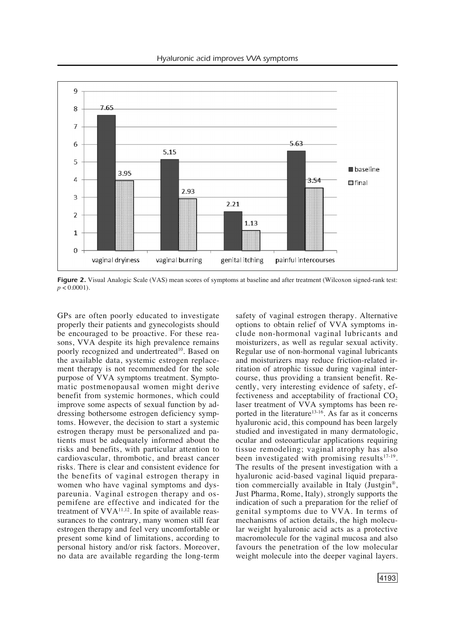

*Figure 2.* Visual Analogic Scale (VAS) mean scores of symptoms at baseline and after treatment (Wilcoxon signed-rank test:  $p < 0.0001$ ).

GPs are often poorly educated to investigate properly their patients and gynecologists should be encouraged to be proactive. For these reasons, VVA despite its high prevalence remains poorly recognized and undertreated<sup>10</sup>. Based on the available data, systemic estrogen replacement therapy is not recommended for the sole purpose of VVA symptoms treatment. Symptomatic postmenopausal women might derive benefit from systemic hormones, which could improve some aspects of sexual function by addressing bothersome estrogen deficiency symptoms. However, the decision to start a systemic estrogen therapy must be personalized and patients must be adequately informed about the risks and benefits, with particular attention to cardiovascular, thrombotic, and breast cancer risks. There is clear and consistent evidence for the benefits of vaginal estrogen therapy in women who have vaginal symptoms and dyspareunia. Vaginal estrogen therapy and ospemifene are effective and indicated for the treatment of  $VVA^{11,12}$ . In spite of available reassurances to the contrary, many women still fear estrogen therapy and feel very uncomfortable or present some kind of limitations, according to personal history and/or risk factors. Moreover, no data are available regarding the long-term safety of vaginal estrogen therapy. Alternative options to obtain relief of VVA symptoms include non-hormonal vaginal lubricants and moisturizers, as well as regular sexual activity. Regular use of non-hormonal vaginal lubricants and moisturizers may reduce friction-related irritation of atrophic tissue during vaginal intercourse, thus providing a transient benefit. Recently, very interesting evidence of safety, effectiveness and acceptability of fractional  $CO<sub>2</sub>$ laser treatment of VVA symptoms has been reported in the literature<sup>13-16</sup>. As far as it concerns hyaluronic acid, this compound has been largely studied and investigated in many dermatologic, ocular and osteoarticular applications requiring tissue remodeling; vaginal atrophy has also been investigated with promising results<sup>17-19</sup>. The results of the present investigation with a hyaluronic acid-based vaginal liquid preparation commercially available in Italy (Justgin®, Just Pharma, Rome, Italy), strongly supports the indication of such a preparation for the relief of genital symptoms due to VVA. In terms of mechanisms of action details, the high molecular weight hyaluronic acid acts as a protective macromolecule for the vaginal mucosa and also favours the penetration of the low molecular weight molecule into the deeper vaginal layers.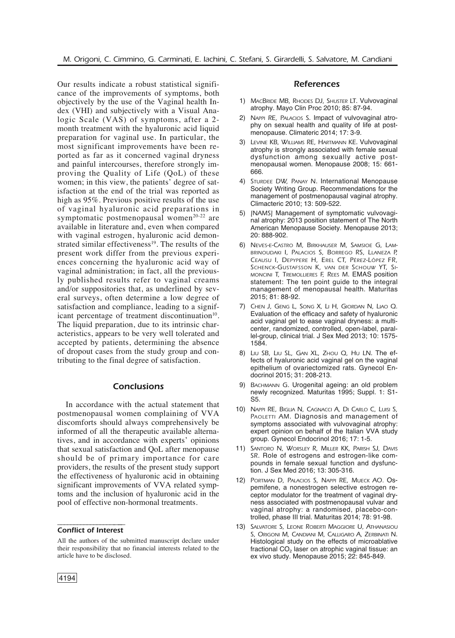Our results indicate a robust statistical significance of the improvements of symptoms, both objectively by the use of the Vaginal health Index (VHI) and subjectively with a Visual Analogic Scale (VAS) of symptoms, after a 2 month treatment with the hyaluronic acid liquid preparation for vaginal use. In particular, the most significant improvements have been reported as far as it concerned vaginal dryness and painful intercourses, therefore strongly improving the Quality of Life (QoL) of these women; in this view, the patients' degree of satisfaction at the end of the trial was reported as high as 95%. Previous positive results of the use of vaginal hyaluronic acid preparations in symptomatic postmenopausal women<sup>20-22</sup> are available in literature and, even when compared with vaginal estrogen, hyaluronic acid demonstrated similar effectiveness<sup>19</sup>. The results of the present work differ from the previous experiences concerning the hyaluronic acid way of vaginal administration; in fact, all the previously published results refer to vaginal creams and/or suppositories that, as underlined by several surveys, often determine a low degree of satisfaction and compliance, leading to a significant percentage of treatment discontinuation<sup>10</sup>. The liquid preparation, due to its intrinsic characteristics, appears to be very well tolerated and accepted by patients, determining the absence of dropout cases from the study group and contributing to the final degree of satisfaction.

## *Conclusions*

In accordance with the actual statement that postmenopausal women complaining of VVA discomforts should always comprehensively be informed of all the therapeutic available alternatives, and in accordance with experts' opinions that sexual satisfaction and QoL after menopause should be of primary importance for care providers, the results of the present study support the effectiveness of hyaluronic acid in obtaining significant improvements of VVA related symptoms and the inclusion of hyaluronic acid in the pool of effective non-hormonal treatments.

#### –––––––––––––––––-––– *Conflict of Interest*

### *References*

- 1) *MACBRIDE MB, RHODES DJ, SHUSTER LT*. Vulvovaginal atrophy. Mayo Clin Proc 2010; 85: 87-94.
- 2) *NAPPI RE, PALACIOS S*. Impact of vulvovaginal atrophy on sexual health and quality of life at postmenopause. Climateric 2014; 17: 3-9.
- 3) *LEVINE KB, WILLIAMS RE, HARTMANN KE*. Vulvovaginal atrophy is strongly associated with female sexual dysfunction among sexually active postmenopausal women. Menopause 2008; 15: 661- 666.
- 4) *STURDEE DW, PANAY N*. International Menopause Society Writing Group. Recommendations for the management of postmenopausal vaginal atrophy. Climacteric 2010; 13: 509-522.
- 5) *[NAMS]* Management of symptomatic vulvovaginal atrophy: 2013 position statement of The North American Menopause Society. Menopause 2013; 20: 888-902.
- 6) *NEVES-E-CASTRO M, BIRKHAUSER M, SAMSIOE G, LAM-BRINOUDAKI I, PALACIOS S, BORREGO RS, LLANEZA P, CEAUSU I, DEPYPERE H, EREL CT, PÉREZ-LÓPEZ FR, SCHENCK-GUSTAFSSON K, VAN DER SCHOUW YT, SI-MONCINI T, TREMOLLIERES F, REES M*. EMAS position statement: The ten point guide to the integral management of menopausal health. Maturitas 2015; 81: 88-92.
- 7) *CHEN J, GENG L, SONG X, LI H, GIORDAN N, LIAO Q.* Evaluation of the efficacy and safety of hyaluronic acid vaginal gel to ease vaginal dryness: a multicenter, randomized, controlled, open-label, parallel-group, clinical trial. J Sex Med 2013; 10: 1575- 1584.
- 8) *LIU SB, LIU SL, GAN XL, ZHOU Q, HU LN*. The effects of hyaluronic acid vaginal gel on the vaginal epithelium of ovariectomized rats. Gynecol Endocrinol 2015; 31: 208-213.
- 9) *BACHMANN G*. Urogenital ageing: an old problem newly recognized. Maturitas 1995; Suppl. 1: S1- S5.
- 10) *NAPPI RE, BIGLIA N, CAGNACCI A, DI CARLO C, LUISI S, PAOLETTI AM*. Diagnosis and management of symptoms associated with vulvovaginal atrophy: expert opinion on behalf of the Italian VVA study group. Gynecol Endocrinol 2016; 17: 1-5.
- 11) *SANTORO N, WORSLEY R, MILLER KK, PARISH SJ, DAVIS SR*. Role of estrogens and estrogen-like compounds in female sexual function and dysfunction. J Sex Med 2016; 13: 305-316.
- 12) *PORTMAN D, PALACIOS S, NAPPI RE, MUECK AO.* Ospemifene, a nonestrogen selective estrogen receptor modulator for the treatment of vaginal dryness associated with postmenopausal vulvar and vaginal atrophy: a randomised, placebo-controlled, phase III trial. Maturitas 2014; 78: 91-98.
- 13) *SALVATORE S, LEONE ROBERTI MAGGIORE U, ATHANASIOU S, ORIGONI M, CANDIANI M, CALLIGARO A, ZERBINATI N*. Histological study on the effects of microablative fractional  $CO<sub>2</sub>$  laser on atrophic vaginal tissue: an ex vivo study. Menopause 2015; 22: 845-849.

All the authors of the submitted manuscript declare under their responsibility that no financial interests related to the article have to be disclosed.